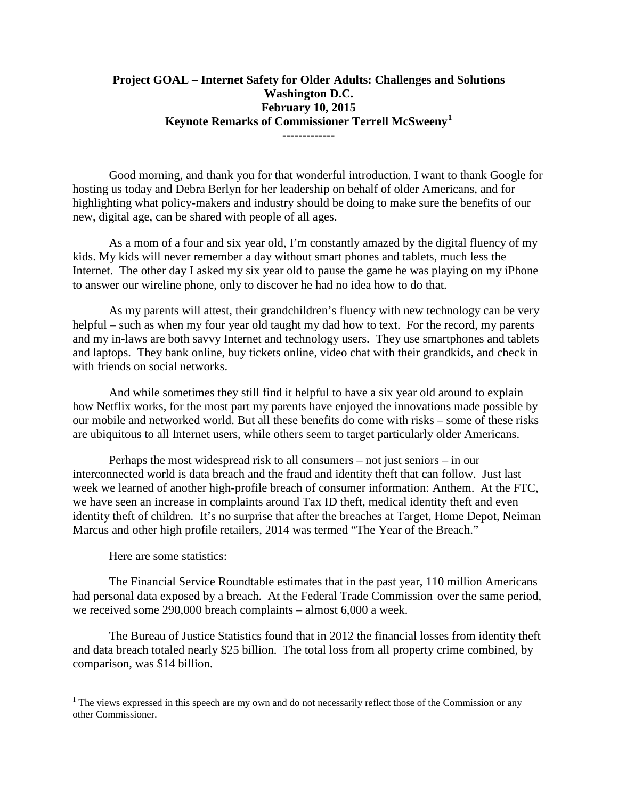## **Project GOAL – Internet Safety for Older Adults: Challenges and Solutions Washington D.C. February 10, 2015 Keynote Remarks of Commissioner Terrell McSweeny[1](#page-0-0) -------------**

Good morning, and thank you for that wonderful introduction. I want to thank Google for hosting us today and Debra Berlyn for her leadership on behalf of older Americans, and for highlighting what policy-makers and industry should be doing to make sure the benefits of our new, digital age, can be shared with people of all ages.

As a mom of a four and six year old, I'm constantly amazed by the digital fluency of my kids. My kids will never remember a day without smart phones and tablets, much less the Internet. The other day I asked my six year old to pause the game he was playing on my iPhone to answer our wireline phone, only to discover he had no idea how to do that.

As my parents will attest, their grandchildren's fluency with new technology can be very helpful – such as when my four year old taught my dad how to text. For the record, my parents and my in-laws are both savvy Internet and technology users. They use smartphones and tablets and laptops. They bank online, buy tickets online, video chat with their grandkids, and check in with friends on social networks.

And while sometimes they still find it helpful to have a six year old around to explain how Netflix works, for the most part my parents have enjoyed the innovations made possible by our mobile and networked world. But all these benefits do come with risks – some of these risks are ubiquitous to all Internet users, while others seem to target particularly older Americans.

Perhaps the most widespread risk to all consumers – not just seniors – in our interconnected world is data breach and the fraud and identity theft that can follow. Just last week we learned of another high-profile breach of consumer information: Anthem. At the FTC, we have seen an increase in complaints around Tax ID theft, medical identity theft and even identity theft of children. It's no surprise that after the breaches at Target, Home Depot, Neiman Marcus and other high profile retailers, 2014 was termed "The Year of the Breach."

Here are some statistics:

The Financial Service Roundtable estimates that in the past year, 110 million Americans had personal data exposed by a breach. At the Federal Trade Commission over the same period, we received some 290,000 breach complaints – almost 6,000 a week.

The Bureau of Justice Statistics found that in 2012 the financial losses from identity theft and data breach totaled nearly \$25 billion. The total loss from all property crime combined, by comparison, was \$14 billion.

<span id="page-0-0"></span> $<sup>1</sup>$  The views expressed in this speech are my own and do not necessarily reflect those of the Commission or any</sup> other Commissioner.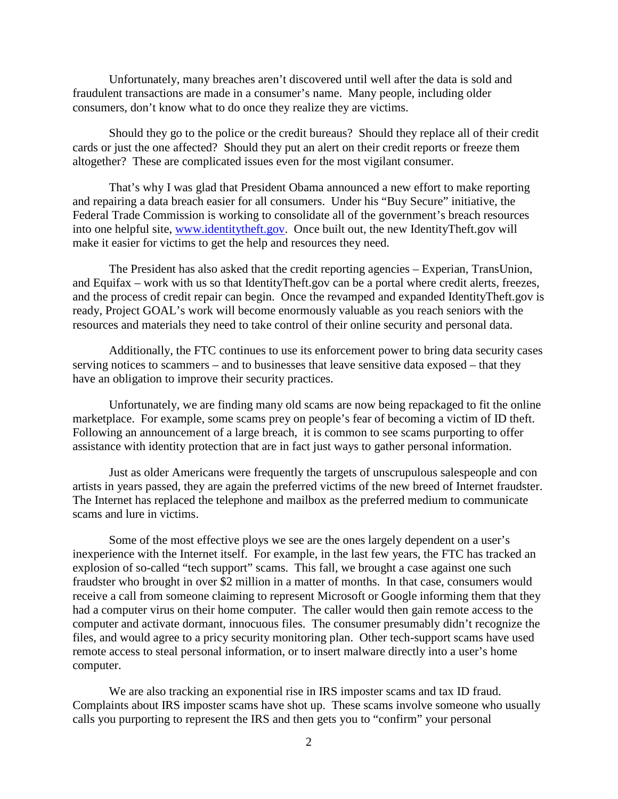Unfortunately, many breaches aren't discovered until well after the data is sold and fraudulent transactions are made in a consumer's name. Many people, including older consumers, don't know what to do once they realize they are victims.

Should they go to the police or the credit bureaus? Should they replace all of their credit cards or just the one affected? Should they put an alert on their credit reports or freeze them altogether? These are complicated issues even for the most vigilant consumer.

That's why I was glad that President Obama announced a new effort to make reporting and repairing a data breach easier for all consumers. Under his "Buy Secure" initiative, the Federal Trade Commission is working to consolidate all of the government's breach resources into one helpful site, [www.identitytheft.gov.](http://www.identitytheft.gov/) Once built out, the new IdentityTheft.gov will make it easier for victims to get the help and resources they need.

The President has also asked that the credit reporting agencies – Experian, TransUnion, and Equifax – work with us so that IdentityTheft.gov can be a portal where credit alerts, freezes, and the process of credit repair can begin. Once the revamped and expanded IdentityTheft.gov is ready, Project GOAL's work will become enormously valuable as you reach seniors with the resources and materials they need to take control of their online security and personal data.

Additionally, the FTC continues to use its enforcement power to bring data security cases serving notices to scammers – and to businesses that leave sensitive data exposed – that they have an obligation to improve their security practices.

Unfortunately, we are finding many old scams are now being repackaged to fit the online marketplace. For example, some scams prey on people's fear of becoming a victim of ID theft. Following an announcement of a large breach, it is common to see scams purporting to offer assistance with identity protection that are in fact just ways to gather personal information.

Just as older Americans were frequently the targets of unscrupulous salespeople and con artists in years passed, they are again the preferred victims of the new breed of Internet fraudster. The Internet has replaced the telephone and mailbox as the preferred medium to communicate scams and lure in victims.

Some of the most effective ploys we see are the ones largely dependent on a user's inexperience with the Internet itself. For example, in the last few years, the FTC has tracked an explosion of so-called "tech support" scams. This fall, we brought a case against one such fraudster who brought in over \$2 million in a matter of months. In that case, consumers would receive a call from someone claiming to represent Microsoft or Google informing them that they had a computer virus on their home computer. The caller would then gain remote access to the computer and activate dormant, innocuous files. The consumer presumably didn't recognize the files, and would agree to a pricy security monitoring plan. Other tech-support scams have used remote access to steal personal information, or to insert malware directly into a user's home computer.

We are also tracking an exponential rise in IRS imposter scams and tax ID fraud. Complaints about IRS imposter scams have shot up. These scams involve someone who usually calls you purporting to represent the IRS and then gets you to "confirm" your personal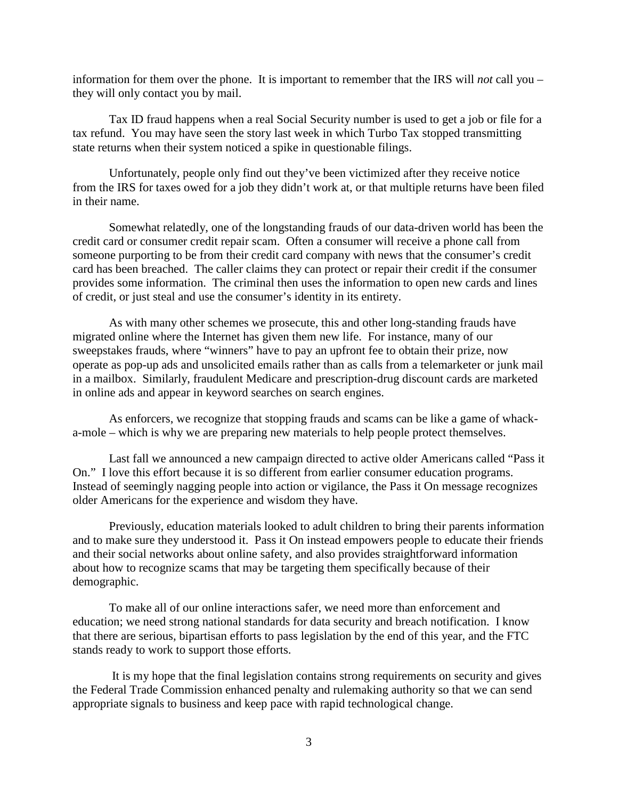information for them over the phone. It is important to remember that the IRS will *not* call you – they will only contact you by mail.

Tax ID fraud happens when a real Social Security number is used to get a job or file for a tax refund. You may have seen the story last week in which Turbo Tax stopped transmitting state returns when their system noticed a spike in questionable filings.

Unfortunately, people only find out they've been victimized after they receive notice from the IRS for taxes owed for a job they didn't work at, or that multiple returns have been filed in their name.

Somewhat relatedly, one of the longstanding frauds of our data-driven world has been the credit card or consumer credit repair scam. Often a consumer will receive a phone call from someone purporting to be from their credit card company with news that the consumer's credit card has been breached. The caller claims they can protect or repair their credit if the consumer provides some information. The criminal then uses the information to open new cards and lines of credit, or just steal and use the consumer's identity in its entirety.

As with many other schemes we prosecute, this and other long-standing frauds have migrated online where the Internet has given them new life. For instance, many of our sweepstakes frauds, where "winners" have to pay an upfront fee to obtain their prize, now operate as pop-up ads and unsolicited emails rather than as calls from a telemarketer or junk mail in a mailbox. Similarly, fraudulent Medicare and prescription-drug discount cards are marketed in online ads and appear in keyword searches on search engines.

As enforcers, we recognize that stopping frauds and scams can be like a game of whacka-mole – which is why we are preparing new materials to help people protect themselves.

Last fall we announced a new campaign directed to active older Americans called "Pass it On." I love this effort because it is so different from earlier consumer education programs. Instead of seemingly nagging people into action or vigilance, the Pass it On message recognizes older Americans for the experience and wisdom they have.

Previously, education materials looked to adult children to bring their parents information and to make sure they understood it. Pass it On instead empowers people to educate their friends and their social networks about online safety, and also provides straightforward information about how to recognize scams that may be targeting them specifically because of their demographic.

To make all of our online interactions safer, we need more than enforcement and education; we need strong national standards for data security and breach notification. I know that there are serious, bipartisan efforts to pass legislation by the end of this year, and the FTC stands ready to work to support those efforts.

It is my hope that the final legislation contains strong requirements on security and gives the Federal Trade Commission enhanced penalty and rulemaking authority so that we can send appropriate signals to business and keep pace with rapid technological change.